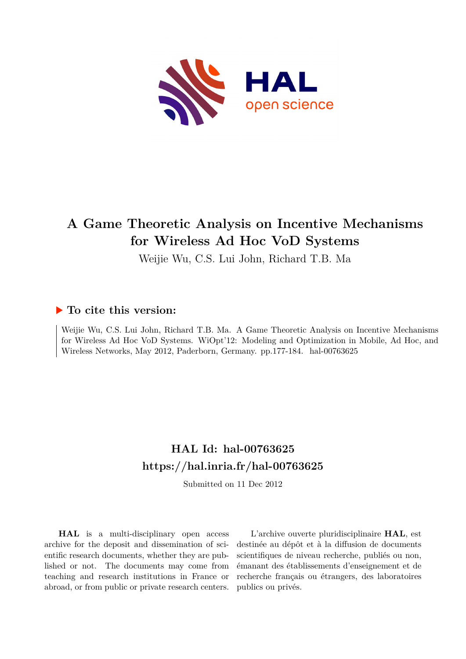

## **A Game Theoretic Analysis on Incentive Mechanisms for Wireless Ad Hoc VoD Systems**

Weijie Wu, C.S. Lui John, Richard T.B. Ma

### **To cite this version:**

Weijie Wu, C.S. Lui John, Richard T.B. Ma. A Game Theoretic Analysis on Incentive Mechanisms for Wireless Ad Hoc VoD Systems. WiOpt'12: Modeling and Optimization in Mobile, Ad Hoc, and Wireless Networks, May 2012, Paderborn, Germany. pp.177-184. hal-00763625

## **HAL Id: hal-00763625 <https://hal.inria.fr/hal-00763625>**

Submitted on 11 Dec 2012

**HAL** is a multi-disciplinary open access archive for the deposit and dissemination of scientific research documents, whether they are published or not. The documents may come from teaching and research institutions in France or abroad, or from public or private research centers.

L'archive ouverte pluridisciplinaire **HAL**, est destinée au dépôt et à la diffusion de documents scientifiques de niveau recherche, publiés ou non, émanant des établissements d'enseignement et de recherche français ou étrangers, des laboratoires publics ou privés.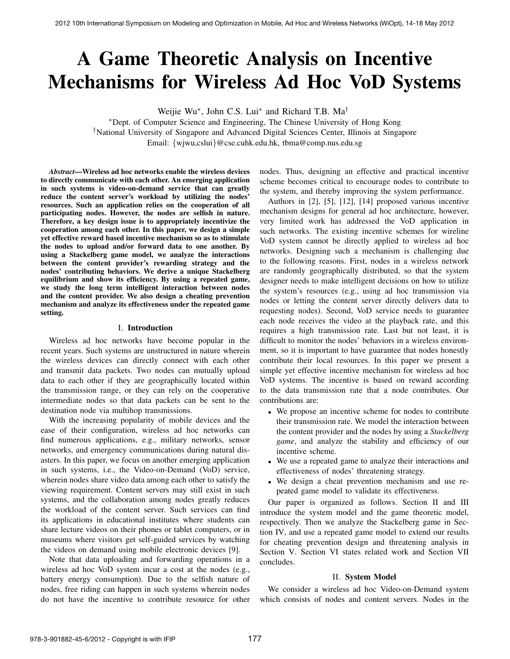# A Game Theoretic Analysis on Incentive Mechanisms for Wireless Ad Hoc VoD Systems

Weijie Wu∗, John C.S. Lui∗ and Richard T.B. Ma†

∗Dept. of Computer Science and Engineering, The Chinese University of Hong Kong †National University of Singapore and Advanced Digital Sciences Center, Illinois at Singapore Email: {wjwu,cslui}@cse.cuhk.edu.hk, tbma@comp.nus.edu.sg

*Abstract*—Wireless ad hoc networks enable the wireless devices to directly communicate with each other. An emerging application in such systems is video-on-demand service that can greatly reduce the content server's workload by utilizing the nodes' resources. Such an application relies on the cooperation of all participating nodes. However, the nodes are selfish in nature. Therefore, a key design issue is to appropriately incentivize the cooperation among each other. In this paper, we design a simple yet effective reward based incentive mechanism so as to stimulate the nodes to upload and/or forward data to one another. By using a Stackelberg game model, we analyze the interactions between the content provider's rewarding strategy and the nodes' contributing behaviors. We derive a unique Stackelberg equilibrium and show its efficiency. By using a repeated game, we study the long term intelligent interaction between nodes and the content provider. We also design a cheating prevention mechanism and analyze its effectiveness under the repeated game setting.

#### I. Introduction

Wireless ad hoc networks have become popular in the recent years. Such systems are unstructured in nature wherein the wireless devices can directly connect with each other and transmit data packets. Two nodes can mutually upload data to each other if they are geographically located within the transmission range, or they can rely on the cooperative intermediate nodes so that data packets can be sent to the destination node via multihop transmissions.

With the increasing popularity of mobile devices and the ease of their configuration, wireless ad hoc networks can find numerous applications, e.g., military networks, sensor networks, and emergency communications during natural disasters. In this paper, we focus on another emerging application in such systems, i.e., the Video-on-Demand (VoD) service, wherein nodes share video data among each other to satisfy the viewing requirement. Content servers may still exist in such systems, and the collaboration among nodes greatly reduces the workload of the content server. Such services can find its applications in educational institutes where students can share lecture videos on their phones or tablet computers, or in museums where visitors get self-guided services by watching the videos on demand using mobile electronic devices [9].

Note that data uploading and forwarding operations in a wireless ad hoc VoD system incur a cost at the nodes (e.g., battery energy consumption). Due to the selfish nature of nodes, free riding can happen in such systems wherein nodes do not have the incentive to contribute resource for other nodes. Thus, designing an effective and practical incentive scheme becomes critical to encourage nodes to contribute to the system, and thereby improving the system performance.

Authors in [2], [5], [12], [14] proposed various incentive mechanism designs for general ad hoc architecture, however, very limited work has addressed the VoD application in such networks. The existing incentive schemes for wireline VoD system cannot be directly applied to wireless ad hoc networks. Designing such a mechanism is challenging due to the following reasons. First, nodes in a wireless network are randomly geographically distributed, so that the system designer needs to make intelligent decisions on how to utilize the system's resources (e.g., using ad hoc transmission via nodes or letting the content server directly delivers data to requesting nodes). Second, VoD service needs to guarantee each node receives the video at the playback rate, and this requires a high transmission rate. Last but not least, it is difficult to monitor the nodes' behaviors in a wireless environment, so it is important to have guarantee that nodes honestly contribute their local resources. In this paper we present a simple yet effective incentive mechanism for wireless ad hoc VoD systems. The incentive is based on reward according to the data transmission rate that a node contributes. Our contributions are:

- We propose an incentive scheme for nodes to contribute their transmission rate. We model the interaction between the content provider and the nodes by using a *Stackelberg game*, and analyze the stability and efficiency of our incentive scheme.
- We use a repeated game to analyze their interactions and effectiveness of nodes' threatening strategy.
- We design a cheat prevention mechanism and use repeated game model to validate its effectiveness.

Our paper is organized as follows. Section II and III introduce the system model and the game theoretic model, respectively. Then we analyze the Stackelberg game in Section IV, and use a repeated game model to extend our results for cheating prevention design and threatening analysis in Section V. Section VI states related work and Section VII concludes.

#### II. System Model

We consider a wireless ad hoc Video-on-Demand system which consists of nodes and content servers. Nodes in the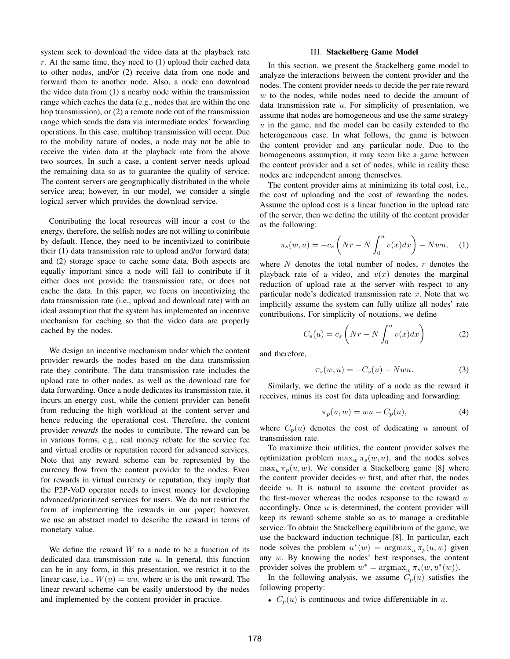system seek to download the video data at the playback rate  $r$ . At the same time, they need to  $(1)$  upload their cached data to other nodes, and/or (2) receive data from one node and forward them to another node. Also, a node can download the video data from (1) a nearby node within the transmission range which caches the data (e.g., nodes that are within the one hop transmission), or (2) a remote node out of the transmission range which sends the data via intermediate nodes' forwarding operations. In this case, multihop transmission will occur. Due to the mobility nature of nodes, a node may not be able to receive the video data at the playback rate from the above two sources. In such a case, a content server needs upload the remaining data so as to guarantee the quality of service. The content servers are geographically distributed in the whole service area; however, in our model, we consider a single logical server which provides the download service.

Contributing the local resources will incur a cost to the energy, therefore, the selfish nodes are not willing to contribute by default. Hence, they need to be incentivized to contribute their (1) data transmission rate to upload and/or forward data; and (2) storage space to cache some data. Both aspects are equally important since a node will fail to contribute if it either does not provide the transmission rate, or does not cache the data. In this paper, we focus on incentivizing the data transmission rate (i.e., upload and download rate) with an ideal assumption that the system has implemented an incentive mechanism for caching so that the video data are properly cached by the nodes.

We design an incentive mechanism under which the content provider rewards the nodes based on the data transmission rate they contribute. The data transmission rate includes the upload rate to other nodes, as well as the download rate for data forwarding. Once a node dedicates its transmission rate, it incurs an energy cost, while the content provider can benefit from reducing the high workload at the content server and hence reducing the operational cost. Therefore, the content provider *rewards* the nodes to contribute. The reward can be in various forms, e.g., real money rebate for the service fee and virtual credits or reputation record for advanced services. Note that any reward scheme can be represented by the currency flow from the content provider to the nodes. Even for rewards in virtual currency or reputation, they imply that the P2P-VoD operator needs to invest money for developing advanced/prioritized services for users. We do not restrict the form of implementing the rewards in our paper; however, we use an abstract model to describe the reward in terms of monetary value.

We define the reward  $W$  to a node to be a function of its dedicated data transmission rate  $u$ . In general, this function can be in any form, in this presentation, we restrict it to the linear case, i.e.,  $W(u) = wu$ , where w is the unit reward. The linear reward scheme can be easily understood by the nodes and implemented by the content provider in practice.

#### III. Stackelberg Game Model

In this section, we present the Stackelberg game model to analyze the interactions between the content provider and the nodes. The content provider needs to decide the per rate reward  $w$  to the nodes, while nodes need to decide the amount of data transmission rate  $u$ . For simplicity of presentation, we assume that nodes are homogeneous and use the same strategy  $u$  in the game, and the model can be easily extended to the heterogeneous case. In what follows, the game is between the content provider and any particular node. Due to the homogeneous assumption, it may seem like a game between the content provider and a set of nodes, while in reality these nodes are independent among themselves.

The content provider aims at minimizing its total cost, i.e., the cost of uploading and the cost of rewarding the nodes. Assume the upload cost is a linear function in the upload rate of the server, then we define the utility of the content provider as the following:

$$
\pi_s(w, u) = -c_s \left( Nr - N \int_0^u v(x) dx \right) - N w u, \quad (1)
$$

where  $N$  denotes the total number of nodes,  $r$  denotes the playback rate of a video, and  $v(x)$  denotes the marginal reduction of upload rate at the server with respect to any particular node's dedicated transmission rate  $x$ . Note that we implicitly assume the system can fully utilize all nodes' rate contributions. For simplicity of notations, we define

$$
C_s(u) = c_s \left( Nr - N \int_0^u v(x) dx \right)
$$
 (2)

and therefore,

$$
\pi_s(w, u) = -C_s(u) - Nwu.
$$
 (3)

Similarly, we define the utility of a node as the reward it receives, minus its cost for data uploading and forwarding:

$$
\pi_p(u, w) = wu - C_p(u),\tag{4}
$$

where  $C_p(u)$  denotes the cost of dedicating u amount of transmission rate.

To maximize their utilities, the content provider solves the optimization problem  $\max_{w} \pi_s(w, u)$ , and the nodes solves  $\max_u \pi_p(u, w)$ . We consider a Stackelberg game [8] where the content provider decides  $w$  first, and after that, the nodes decide  $u$ . It is natural to assume the content provider as the first-mover whereas the nodes response to the reward  $w$ accordingly. Once  $u$  is determined, the content provider will keep its reward scheme stable so as to manage a creditable service. To obtain the Stackelberg equilibrium of the game, we use the backward induction technique [8]. In particular, each node solves the problem  $u^*(w) = \argmax_u \pi_p(u, w)$  given any  $w$ . By knowing the nodes' best responses, the content provider solves the problem  $w^* = \argmax_w \pi_s(w, u^*(w))$ .

In the following analysis, we assume  $C_p(u)$  satisfies the following property:

•  $C_p(u)$  is continuous and twice differentiable in u.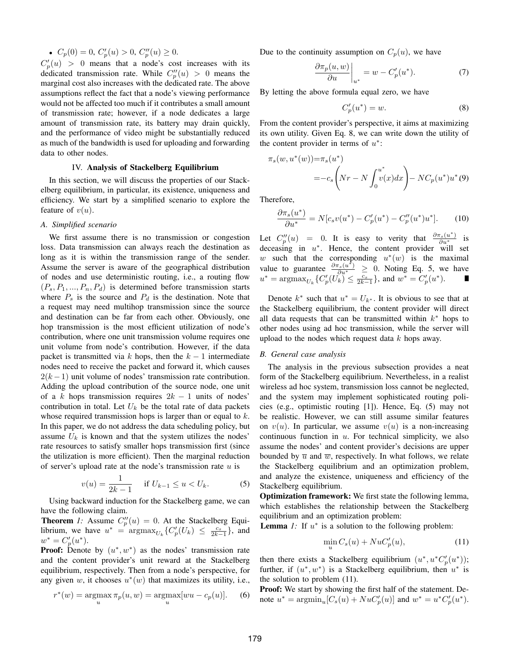•  $C_p(0) = 0, C'_p(u) > 0, C''_p(u) \ge 0.$ 

 $C'_{p}(u) > 0$  means that a node's cost increases with its dedicated transmission rate. While  $C_p''(u) > 0$  means the marginal cost also increases with the dedicated rate. The above assumptions reflect the fact that a node's viewing performance would not be affected too much if it contributes a small amount of transmission rate; however, if a node dedicates a large amount of transmission rate, its battery may drain quickly, and the performance of video might be substantially reduced as much of the bandwidth is used for uploading and forwarding data to other nodes.

#### IV. Analysis of Stackelberg Equilibrium

In this section, we will discuss the properties of our Stackelberg equilibrium, in particular, its existence, uniqueness and efficiency. We start by a simplified scenario to explore the feature of  $v(u)$ .

#### *A. Simplified scenario*

We first assume there is no transmission or congestion loss. Data transmission can always reach the destination as long as it is within the transmission range of the sender. Assume the server is aware of the geographical distribution of nodes and use deterministic routing, i.e., a routing flow  $(P_s, P_1, ..., P_n, P_d)$  is determined before transmission starts where  $P_s$  is the source and  $P_d$  is the destination. Note that a request may need multihop transmission since the source and destination can be far from each other. Obviously, one hop transmission is the most efficient utilization of node's contribution, where one unit transmission volume requires one unit volume from node's contribution. However, if the data packet is transmitted via k hops, then the  $k - 1$  intermediate nodes need to receive the packet and forward it, which causes  $2(k-1)$  unit volume of nodes' transmission rate contribution. Adding the upload contribution of the source node, one unit of a k hops transmission requires  $2k - 1$  units of nodes' contribution in total. Let  $U_k$  be the total rate of data packets whose required transmission hops is larger than or equal to  $k$ . In this paper, we do not address the data scheduling policy, but assume  $U_k$  is known and that the system utilizes the nodes' rate resources to satisfy smaller hops transmission first (since the utilization is more efficient). Then the marginal reduction of server's upload rate at the node's transmission rate  $u$  is

$$
v(u) = \frac{1}{2k - 1} \quad \text{if } U_{k-1} \le u < U_k. \tag{5}
$$

Using backward induction for the Stackelberg game, we can have the following claim.

**Theorem** 1: Assume  $C_p''(u) = 0$ . At the Stackelberg Equilibrium, we have  $u^* = \argmax_{U_k} \{C_p'(U_k) \leq \frac{c_s}{2k-1} \}$ , and  $w^* = C'_p(u^*).$ 

**Proof:** Denote by  $(u^*, w^*)$  as the nodes' transmission rate and the content provider's unit reward at the Stackelberg equilibrium, respectively. Then from a node's perspective, for any given w, it chooses  $u^*(w)$  that maximizes its utility, i.e.,

$$
r^*(w) = \underset{u}{\text{argmax}} \pi_p(u, w) = \underset{u}{\text{argmax}} [wu - c_p(u)].
$$
 (6)

Due to the continuity assumption on  $C_p(u)$ , we have

$$
\left. \frac{\partial \pi_p(u, w)}{\partial u} \right|_{u^*} = w - C_p'(u^*). \tag{7}
$$

By letting the above formula equal zero, we have

$$
C_p'(u^*) = w.\t\t(8)
$$

From the content provider's perspective, it aims at maximizing its own utility. Given Eq. 8, we can write down the utility of the content provider in terms of  $u^*$ :

$$
\pi_s(w, u^*(w)) = \pi_s(u^*)
$$
  
=  $-c_s \left( Nr - N \int_0^{u^*} v(x) dx \right) - NC_p(u^*)u^*(9)$ 

Therefore,

$$
\frac{\partial \pi_s(u^*)}{\partial u^*} = N[c_s v(u^*) - C_p'(u^*) - C_p''(u^*)u^*]. \tag{10}
$$

Let  $C_p''(u) = 0$ . It is easy to verity that  $\frac{\partial \pi_s(u^*)}{\partial u^*}$  is deceasing in  $u^*$ . Hence, the content provider will set w such that the corresponding  $u^*(w)$  is the maximal value to guarantee  $\frac{\partial \pi_s(u^*)}{\partial u^*} \geq 0$ . Noting Eq. 5, we have  $u^* = \text{argmax}_{U_k} \{ C'_p(U_k) \leq \frac{c_s}{2k-1} \}, \text{ and } w^* = C'_p(u^*).$ 

Denote  $k^*$  such that  $u^* = U_{k^*}$ . It is obvious to see that at the Stackelberg equilibrium, the content provider will direct all data requests that can be transmitted within  $k^*$  hops to other nodes using ad hoc transmission, while the server will upload to the nodes which request data  $k$  hops away.

#### *B. General case analysis*

The analysis in the previous subsection provides a neat form of the Stackelberg equilibrium. Nevertheless, in a realist wireless ad hoc system, transmission loss cannot be neglected, and the system may implement sophisticated routing policies (e.g., optimistic routing [1]). Hence, Eq. (5) may not be realistic. However, we can still assume similar features on  $v(u)$ . In particular, we assume  $v(u)$  is a non-increasing continuous function in  $u$ . For technical simplicity, we also assume the nodes' and content provider's decisions are upper bounded by  $\overline{u}$  and  $\overline{w}$ , respectively. In what follows, we relate the Stackelberg equilibrium and an optimization problem, and analyze the existence, uniqueness and efficiency of the Stackelberg equilibrium.

Optimization framework: We first state the following lemma, which establishes the relationship between the Stackelberg equilibrium and an optimization problem:

**Lemma** *1*: If  $u^*$  is a solution to the following problem:

$$
\min_{u} C_s(u) + NuC_p'(u),\tag{11}
$$

then there exists a Stackelberg equilibrium  $(u^*, u^* C_p'(u^*))$ ; further, if  $(u^*, w^*)$  is a Stackelberg equilibrium, then  $u^*$  is the solution to problem (11).

Proof: We start by showing the first half of the statement. Denote  $u^* = \text{argmin}_{u} [C_s(u) + NuC'_p(u)]$  and  $w^* = u^* C'_p(u^*)$ .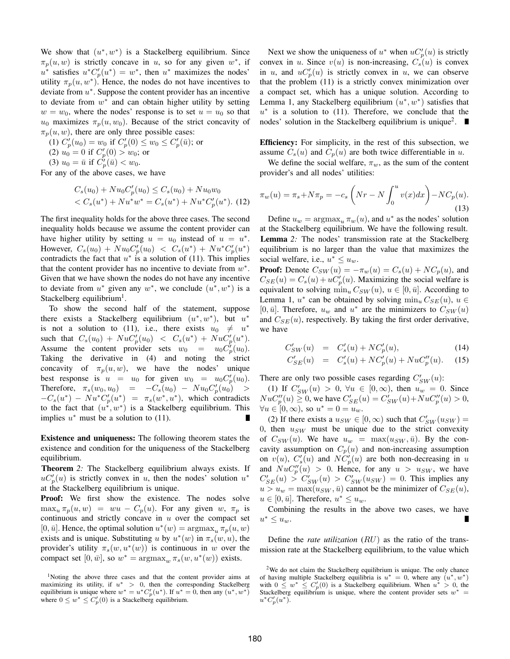We show that  $(u^*, w^*)$  is a Stackelberg equilibrium. Since  $\pi_p(u, w)$  is strictly concave in u, so for any given w<sup>\*</sup>, if  $u^*$  satisfies  $u^*C_p'(u^*) = w^*$ , then  $u^*$  maximizes the nodes' utility  $\pi_p(u, w^*)$ . Hence, the nodes do not have incentives to deviate from  $u^*$ . Suppose the content provider has an incentive to deviate from  $w^*$  and can obtain higher utility by setting  $w = w_0$ , where the nodes' response is to set  $u = u_0$  so that  $u_0$  maximizes  $\pi_p(u, w_0)$ . Because of the strict concavity of  $\pi_p(u, w)$ , there are only three possible cases:

(1)  $C'_{p}(u_0) = w_0$  if  $C'_{p}(0) \le w_0 \le C'_{p}(\bar{u})$ ; or (2)  $u_0 = 0$  if  $C_p'(0) > w_0$ ; or

(3)  $u_0 = \bar{u}$  if  $C_p'(\bar{u}) < w_0$ .

For any of the above cases, we have

$$
C_s(u_0) + Nu_0 C_p'(u_0) \le C_s(u_0) + Nu_0 w_0
$$
  
< 
$$
C_s(u^*) + Nu^* w^* = C_s(u^*) + Nu^* C_p'(u^*).
$$
 (12)

The first inequality holds for the above three cases. The second inequality holds because we assume the content provider can have higher utility by setting  $u = u_0$  instead of  $u = u^*$ . However,  $C_s(u_0) + N u_0 C_p'(u_0) < C_s(u^*) + N u^* C_p'(u^*)$ contradicts the fact that  $u^*$  is a solution of (11). This implies that the content provider has no incentive to deviate from  $w^*$ . Given that we have shown the nodes do not have any incentive to deviate from  $u^*$  given any  $w^*$ , we conclude  $(u^*, w^*)$  is a Stackelberg equilibrium<sup>1</sup>.

To show the second half of the statement, suppose there exists a Stackelberg equilibrium  $(u^*, w^*)$ , but  $u^*$ is not a solution to (11), i.e., there exists  $u_0 \neq u^*$ such that  $C_s(u_0) + N u C'_p(u_0) < C_s(u^*) + N u C'_p(u^*)$ . Assume the content provider sets  $w_0 = u_0 C_p'(u_0)$ . Taking the derivative in (4) and noting the strict concavity of  $\pi_p(u, w)$ , we have the nodes' unique best response is  $u = u_0$  for given  $w_0 = u_0 C_p'(u_0)$ . Therefore,  $\pi_s(w_0, u_0) = -C_s(u_0) - N u_0 C_p'(u_0) >$  $-C_s(u^*) - Nu^*C_p'(u^*) = \pi_s(w^*, u^*),$  which contradicts to the fact that  $(u^*, w^*)$  is a Stackelberg equilibrium. This implies  $u^*$  must be a solution to (11).

Existence and uniqueness: The following theorem states the existence and condition for the uniqueness of the Stackelberg equilibrium.

Theorem *2:* The Stackelberg equilibrium always exists. If  $\mu C'_p(u)$  is strictly convex in u, then the nodes' solution  $u^*$ at the Stackelberg equilibrium is unique.

Proof: We first show the existence. The nodes solve  $\max_u \pi_p(u, w) = wu - C_p(u)$ . For any given w,  $\pi_p$  is continuous and strictly concave in  $u$  over the compact set  $[0, \bar{u}]$ . Hence, the optimal solution  $u^*(w) = \argmax_u \pi_v(u, w)$ exists and is unique. Substituting u by  $u^*(w)$  in  $\pi_s(w, u)$ , the provider's utility  $\pi_s(w, u^*(w))$  is continuous in w over the compact set  $[0, \bar{w}]$ , so  $w^* = \argmax_w \pi_s(w, u^*(w))$  exists.

Next we show the uniqueness of  $u^*$  when  $uC_p'(u)$  is strictly convex in u. Since  $v(u)$  is non-increasing,  $C_s(u)$  is convex in u, and  $u C'_p(u)$  is strictly convex in u, we can observe that the problem (11) is a strictly convex minimization over a compact set, which has a unique solution. According to Lemma 1, any Stackelberg equilibrium  $(u^*, w^*)$  satisfies that  $u^*$  is a solution to (11). Therefore, we conclude that the nodes' solution in the Stackelberg equilibrium is unique<sup>2</sup>. п

Efficiency: For simplicity, in the rest of this subsection, we assume  $C_s(u)$  and  $C_p(u)$  are both twice differentiable in u.

We define the social welfare,  $\pi_w$ , as the sum of the content provider's and all nodes' utilities:

$$
\pi_w(u) = \pi_s + N\pi_p = -c_s \left( Nr - N \int_0^u v(x) dx \right) - NC_p(u).
$$
\n(13)

Define  $u_w = \argmax_u \pi_w(u)$ , and  $u^*$  as the nodes' solution at the Stackelberg equilibrium. We have the following result. Lemma *2:* The nodes' transmission rate at the Stackelberg equilibrium is no larger than the value that maximizes the social welfare, i.e.,  $u^* \leq u_w$ .

**Proof:** Denote  $C_{SW}(u) = -\pi_w(u) = C_s(u) + NC_p(u)$ , and  $C_{SE}(u) = C_s(u) + uC'_p(u)$ . Maximizing the social welfare is equivalent to solving  $\min_u C_{SW}(u)$ ,  $u \in [0, \bar{u}]$ . According to Lemma 1,  $u^*$  can be obtained by solving  $\min_u C_{SE}(u)$ ,  $u \in$ [0,  $\bar{u}$ ]. Therefore,  $u_w$  and  $u^*$  are the minimizers to  $C_{SW}(u)$ and  $C_{SE}(u)$ , respectively. By taking the first order derivative, we have

$$
C'_{SW}(u) = C'_{s}(u) + NC'_{p}(u), \qquad (14)
$$

$$
C'_{SE}(u) = C'_{s}(u) + NC'_{p}(u) + N u C''_{p}(u). \tag{15}
$$

There are only two possible cases regarding  $C'_{SW}(u)$ :

(1) If  $C'_{SW}(u) > 0$ ,  $\forall u \in [0, \infty)$ , then  $u_w = 0$ . Since  $N u C''_p(u) \ge 0$ , we have  $C'_{SE}(u) = C'_{SW}(u) + N u C''_p(u) > 0$ ,  $\forall u \in [0, \infty)$ , so  $u^* = 0 = u_w$ .

(2) If there exists a  $u_{SW} \in [0, \infty)$  such that  $C'_{SW}(u_{SW}) =$ 0, then  $u_{SW}$  must be unique due to the strict convexity of  $C_{SW}(u)$ . We have  $u_w = \max(u_{SW}, \bar{u})$ . By the concavity assumption on  $C_p(u)$  and non-increasing assumption on  $v(u)$ ,  $C'_s(u)$  and  $NC'_p(u)$  are both non-decreasing in u and  $NuC_p''(u) > 0$ . Hence, for any  $u > u_{SW}$ , we have  $C'_{SE}(u) > C'_{SW}(u) > C'_{SW}(u_{SW}) = 0$ . This implies any  $u > u_w = \max(u_{SW}, \bar{u})$  cannot be the minimizer of  $C_{SE}(u)$ ,  $u \in [0, \bar{u}]$ . Therefore,  $u^* \leq u_w$ .

Combining the results in the above two cases, we have  $u^* \leq u_w$ .

Define the *rate utilization* (RU) as the ratio of the transmission rate at the Stackelberg equilibrium, to the value which

<sup>&</sup>lt;sup>1</sup>Noting the above three cases and that the content provider aims at maximizing its utility, if  $u^* > 0$ , then the corresponding Stackelberg equilibrium is unique where  $w^* = u^* C_p'(u^*)$ . If  $u^* = 0$ , then any  $(u^*, w^*)$ where  $0 \leq w^* \leq C_p'(0)$  is a Stackelberg equilibrium.

 $2$ We do not claim the Stackelberg equilibrium is unique. The only chance of having multiple Stackelberg equilibria is  $u^* = 0$ , where any  $(u^*, w^*)$ with  $0 \leq w^* \leq C_p'(0)$  is a Stackelberg equilibrium. When  $u^* > 0$ , the Stackelberg equilibrium is unique, where the content provider sets  $w^* =$  $u^* C'_p(u^*).$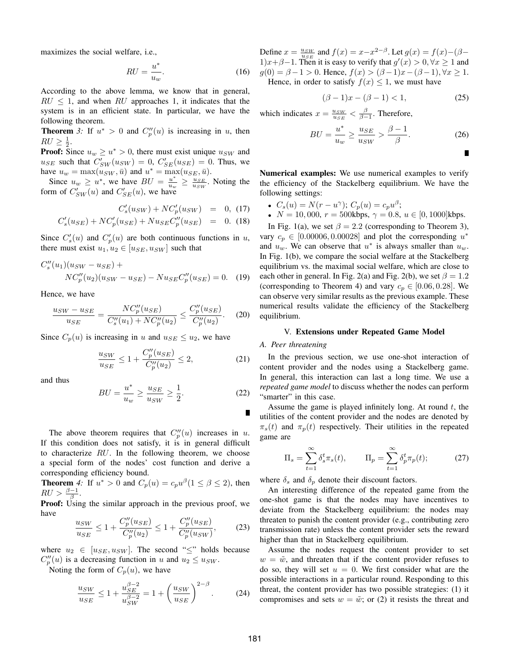maximizes the social welfare, i.e.,

$$
RU = \frac{u^*}{u_w}.\tag{16}
$$

According to the above lemma, we know that in general,  $RU \leq 1$ , and when RU approaches 1, it indicates that the system is in an efficient state. In particular, we have the following theorem.

**Theorem** 3: If  $u^* > 0$  and  $C_p''(u)$  is increasing in u, then  $RU \geq \frac{1}{2}$ .

**Proof:** Since  $u_w \ge u^* > 0$ , there must exist unique  $u_{SW}$  and  $u_{SE}$  such that  $C'_{SW}(u_{SW})=0$ ,  $C'_{SE}(u_{SE})=0$ . Thus, we have  $u_w = \max(u_{SW}, \bar{u})$  and  $u^* = \max(u_{SE}, \bar{u})$ .

Since  $u_w \geq u^*$ , we have  $BU = \frac{u^*}{u_w} \geq \frac{u_{SE}}{u_{SW}}$ . Noting the form of  $C'_{SW}(u)$  and  $C'_{SE}(u)$ , we have

$$
C'_{s}(u_{SW}) + NC'_{p}(u_{SW}) = 0, (17)
$$

$$
C'_{s}(u_{SE}) + NC'_{p}(u_{SE}) + Nu_{SE}C''_{p}(u_{SE}) = 0.
$$
 (18)

Since  $C'_s(u)$  and  $C'_p(u)$  are both continuous functions in u, there must exist  $u_1, u_2 \in [u_{SE}, u_{SW}]$  such that

$$
C''_s(u_1)(u_{SW} - u_{SE}) + N C''_p(u_2)(u_{SW} - u_{SE}) - N u_{SE} C''_p(u_{SE}) = 0.
$$
 (19)

Hence, we have

$$
\frac{u_{SW} - u_{SE}}{u_{SE}} = \frac{N C_p''(u_{SE})}{C_s''(u_1) + N C_p''(u_2)} \le \frac{C_p''(u_{SE})}{C_p''(u_2)}.
$$
 (20)

Since  $C_p(u)$  is increasing in u and  $u_{SE} \le u_2$ , we have

$$
\frac{u_{SW}}{u_{SE}} \le 1 + \frac{C_p''(u_{SE})}{C_p''(u_2)} \le 2,
$$
\n(21)

and thus

$$
BU = \frac{u^*}{u_w} \ge \frac{u_{SE}}{u_{SW}} \ge \frac{1}{2}.\tag{22}
$$

The above theorem requires that  $C_p''(u)$  increases in u. If this condition does not satisfy, it is in general difficult to characterize RU. In the following theorem, we choose a special form of the nodes' cost function and derive a corresponding efficiency bound.

**Theorem** 4: If  $u^* > 0$  and  $C_n(u) = c_n u^{\beta} (1 \le \beta \le 2)$ , then  $RU > \frac{\beta-1}{\beta}$ .

**Proof:** Using the similar approach in the previous proof, we have

$$
\frac{u_{SW}}{u_{SE}} \le 1 + \frac{C_p''(u_{SE})}{C_p''(u_2)} \le 1 + \frac{C_p''(u_{SE})}{C_p''(u_{SW})},\tag{23}
$$

where  $u_2 \in [u_{SE}, u_{SW}]$ . The second " $\le$ " holds because  $C_p''(u)$  is a decreasing function in u and  $u_2 \le u_{SW}$ .

Noting the form of  $C_p(u)$ , we have

$$
\frac{u_{SW}}{u_{SE}} \le 1 + \frac{u_{SE}^{\beta - 2}}{u_{SW}^{\beta - 2}} = 1 + \left(\frac{u_{SW}}{u_{SE}}\right)^{2 - \beta}.
$$
 (24)

Define  $x = \frac{u_{SW}}{u_{SE}}$  and  $f(x) = x - x^{2-\beta}$ . Let  $g(x) = f(x) - (\beta - \frac{1}{\beta})$ 1) $x+\beta-1$ . Then it is easy to verify that  $g'(x) > 0, \forall x \ge 1$  and  $g(0) = \beta - 1 > 0$ . Hence,  $f(x) > (\beta - 1)x - (\beta - 1)$ ,  $\forall x \ge 1$ . Hence, in order to satisfy  $f(x) \leq 1$ , we must have

$$
(\beta - 1)x - (\beta - 1) < 1,\tag{25}
$$

which indicates  $x = \frac{u_{SW}}{u_{SE}} < \frac{\beta}{\beta - 1}$ . Therefore,

$$
BU = \frac{u^*}{u_w} \ge \frac{u_{SE}}{u_{SW}} > \frac{\beta - 1}{\beta}.
$$
 (26)

п

Numerical examples: We use numerical examples to verify the efficiency of the Stackelberg equilibrium. We have the following settings:

- $C_s(u) = N(r u^{\gamma}); C_p(u) = c_p u^{\beta};$
- $N = 10,000, r = 500 \text{kbps}, \gamma = 0.8, u \in [0, 1000] \text{kbps}.$

In Fig. 1(a), we set  $\beta = 2.2$  (corresponding to Theorem 3), vary  $c_p \in [0.00006, 0.00028]$  and plot the corresponding  $u^*$ and  $u_w$ . We can observe that  $u^*$  is always smaller than  $u_w$ . In Fig. 1(b), we compare the social welfare at the Stackelberg equilibrium vs. the maximal social welfare, which are close to each other in general. In Fig. 2(a) and Fig. 2(b), we set  $\beta = 1.2$ (corresponding to Theorem 4) and vary  $c_p \in [0.06, 0.28]$ . We can observe very similar results as the previous example. These numerical results validate the efficiency of the Stackelberg equilibrium.

#### V. Extensions under Repeated Game Model

#### *A. Peer threatening*

In the previous section, we use one-shot interaction of content provider and the nodes using a Stackelberg game. In general, this interaction can last a long time. We use a *repeated game model* to discuss whether the nodes can perform "smarter" in this case.

Assume the game is played infinitely long. At round  $t$ , the utilities of the content provider and the nodes are denoted by  $\pi_s(t)$  and  $\pi_p(t)$  respectively. Their utilities in the repeated game are

$$
\Pi_s = \sum_{t=1}^{\infty} \delta_s^t \pi_s(t), \qquad \Pi_p = \sum_{t=1}^{\infty} \delta_p^t \pi_p(t); \tag{27}
$$

where  $\delta_s$  and  $\delta_p$  denote their discount factors.

An interesting difference of the repeated game from the one-shot game is that the nodes may have incentives to deviate from the Stackelberg equilibrium: the nodes may threaten to punish the content provider (e.g., contributing zero transmission rate) unless the content provider sets the reward higher than that in Stackelberg equilibrium.

Assume the nodes request the content provider to set  $w = \tilde{w}$ , and threaten that if the content provider refuses to do so, they will set  $u = 0$ . We first consider what are the possible interactions in a particular round. Responding to this threat, the content provider has two possible strategies: (1) it compromises and sets  $w = \tilde{w}$ ; or (2) it resists the threat and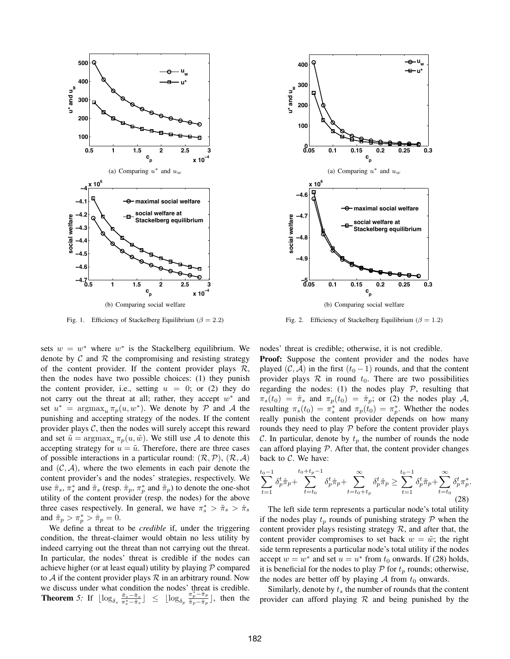

Fig. 1. Efficiency of Stackelberg Equilibrium ( $\beta = 2.2$ )

sets  $w = w^*$  where  $w^*$  is the Stackelberg equilibrium. We denote by  $\mathcal C$  and  $\mathcal R$  the compromising and resisting strategy of the content provider. If the content provider plays  $\mathcal{R}$ , then the nodes have two possible choices: (1) they punish the content provider, i.e., setting  $u = 0$ ; or (2) they do not carry out the threat at all; rather, they accept  $w^*$  and set  $u^* = \argmax_u \pi_p(u, w^*)$ . We denote by P and A the punishing and accepting strategy of the nodes. If the content provider plays  $C$ , then the nodes will surely accept this reward and set  $\tilde{u} = \argmax_u \pi_p(u, \tilde{w})$ . We still use A to denote this accepting strategy for  $u = \tilde{u}$ . Therefore, there are three cases of possible interactions in a particular round:  $(\mathcal{R}, \mathcal{P})$ ,  $(\mathcal{R}, \mathcal{A})$ and  $(C, \mathcal{A})$ , where the two elements in each pair denote the content provider's and the nodes' strategies, respectively. We use  $\hat{\pi}_s$ ,  $\pi_s^*$  and  $\tilde{\pi}_s$  (resp.  $\hat{\pi}_p$ ,  $\pi_p^*$  and  $\tilde{\pi}_p$ ) to denote the one-shot utility of the content provider (resp. the nodes) for the above three cases respectively. In general, we have  $\pi_s^* > \tilde{\pi}_s > \hat{\pi}_s$ and  $\tilde{\pi}_p > \pi_p^* > \hat{\pi}_p = 0$ .

We define a threat to be *credible* if, under the triggering condition, the threat-claimer would obtain no less utility by indeed carrying out the threat than not carrying out the threat. In particular, the nodes' threat is credible if the nodes can achieve higher (or at least equal) utility by playing  $P$  compared to A if the content provider plays  $\mathcal R$  in an arbitrary round. Now we discuss under what condition the nodes' threat is credible. **Theorem** 5: If  $\lfloor \log_{\delta_s} \frac{\tilde{\pi}_s - \hat{\pi}_s}{\pi_s^* - \hat{\pi}_s} \rfloor \leq \lfloor \log_{\delta_p} \frac{\pi_p^* - \hat{\pi}_p}{\tilde{\pi}_p - \hat{\pi}_p} \rfloor$ , then the



Fig. 2. Efficiency of Stackelberg Equilibrium ( $\beta = 1.2$ )

nodes' threat is credible; otherwise, it is not credible.

Proof: Suppose the content provider and the nodes have played (C, A) in the first  $(t_0 - 1)$  rounds, and that the content provider plays  $R$  in round  $t_0$ . There are two possibilities regarding the nodes: (1) the nodes play  $P$ , resulting that  $\pi_s(t_0) = \hat{\pi}_s$  and  $\pi_p(t_0) = \hat{\pi}_p$ ; or (2) the nodes play A, resulting  $\pi_s(t_0) = \pi_s^*$  and  $\pi_p(t_0) = \pi_p^*$ . Whether the nodes really punish the content provider depends on how many rounds they need to play  $P$  before the content provider plays C. In particular, denote by  $t_p$  the number of rounds the node can afford playing  $P$ . After that, the content provider changes back to  $C$ . We have:

$$
\sum_{t=1}^{t_0-1} \delta_p^t \tilde{\pi}_p + \sum_{t=t_0}^{t_0+t_p-1} \delta_p^t \hat{\pi}_p + \sum_{t=t_0+t_p}^{\infty} \delta_p^t \tilde{\pi}_p \ge \sum_{t=1}^{t_0-1} \delta_p^t \tilde{\pi}_p + \sum_{t=t_0}^{\infty} \delta_p^t \pi_p^*.
$$
\n(28)

The left side term represents a particular node's total utility if the nodes play  $t_p$  rounds of punishing strategy  $\mathcal P$  when the content provider plays resisting strategy  $R$ , and after that, the content provider compromises to set back  $w = \tilde{w}$ ; the right side term represents a particular node's total utility if the nodes accept  $w = w^*$  and set  $u = u^*$  from  $t_0$  onwards. If (28) holds, it is beneficial for the nodes to play  $P$  for  $t_p$  rounds; otherwise, the nodes are better off by playing  $A$  from  $t_0$  onwards.

Similarly, denote by  $t_s$  the number of rounds that the content provider can afford playing  $R$  and being punished by the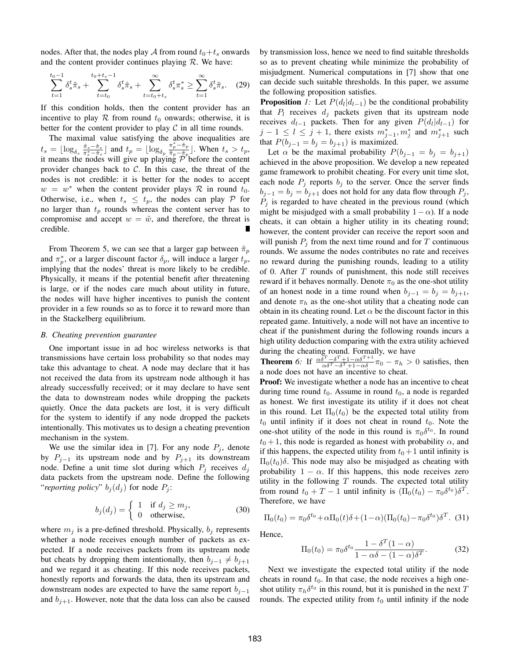nodes. After that, the nodes play A from round  $t_0+t_s$  onwards and the content provider continues playing  $R$ . We have:

$$
\sum_{t=1}^{t_0-1} \delta_s^t \tilde{\pi}_s + \sum_{t=t_0}^{t_0+t_s-1} \delta_s^t \hat{\pi}_s + \sum_{t=t_0+t_s}^{\infty} \delta_s^t \pi_s^* \ge \sum_{t=1}^{\infty} \delta_s^t \tilde{\pi}_s. \tag{29}
$$

If this condition holds, then the content provider has an incentive to play  $R$  from round  $t_0$  onwards; otherwise, it is better for the content provider to play  $C$  in all time rounds.

The maximal value satisfying the above inequalities are  $t_s = \lfloor \log_{\delta_s} \frac{\pi_s - \hat{\pi}_s}{\pi_s^* - \hat{\pi}_s} \rfloor$  and  $t_p = \lfloor \log_{\delta_p} \frac{\pi_p^* - \hat{\pi}_p}{\tilde{\pi}_p - \hat{\pi}_p} \rfloor$ . When  $t_s > t_p$ , it means the nodes will give up playing  $P$  before the content provider changes back to  $C$ . In this case, the threat of the nodes is not credible: it is better for the nodes to accept  $w = w^*$  when the content provider plays R in round  $t_0$ . Otherwise, i.e., when  $t_s \leq t_p$ , the nodes can play P for no larger than  $t_p$  rounds whereas the content server has to compromise and accept  $w = \tilde{w}$ , and therefore, the threat is credible.

From Theorem 5, we can see that a larger gap between  $\tilde{\pi}_p$ and  $\pi_p^*$ , or a larger discount factor  $\delta_p$ , will induce a larger  $t_p$ , implying that the nodes' threat is more likely to be credible. Physically, it means if the potential benefit after threatening is large, or if the nodes care much about utility in future, the nodes will have higher incentives to punish the content provider in a few rounds so as to force it to reward more than in the Stackelberg equilibrium.

#### *B. Cheating prevention guarantee*

One important issue in ad hoc wireless networks is that transmissions have certain loss probability so that nodes may take this advantage to cheat. A node may declare that it has not received the data from its upstream node although it has already successfully received; or it may declare to have sent the data to downstream nodes while dropping the packets quietly. Once the data packets are lost, it is very difficult for the system to identify if any node dropped the packets intentionally. This motivates us to design a cheating prevention mechanism in the system.

We use the similar idea in [7]. For any node  $P_j$ , denote by  $P_{j-1}$  its upstream node and by  $P_{j+1}$  its downstream node. Define a unit time slot during which  $P_i$  receives  $d_i$ data packets from the upstream node. Define the following "*reporting policy*"  $b_i(d_i)$  for node  $P_i$ :

$$
b_j(d_j) = \begin{cases} 1 & \text{if } d_j \ge m_j, \\ 0 & \text{otherwise,} \end{cases}
$$
 (30)

where  $m_j$  is a pre-defined threshold. Physically,  $b_j$  represents whether a node receives enough number of packets as expected. If a node receives packets from its upstream node but cheats by dropping them intentionally, then  $b_{j-1} \neq b_{j+1}$ and we regard it as cheating. If this node receives packets, honestly reports and forwards the data, then its upstream and downstream nodes are expected to have the same report  $b_{i-1}$ and  $b_{i+1}$ . However, note that the data loss can also be caused by transmission loss, hence we need to find suitable thresholds so as to prevent cheating while minimize the probability of misjudgment. Numerical computations in [7] show that one can decide such suitable thresholds. In this paper, we assume the following proposition satisfies.

**Proposition** *1:* Let  $P(d_l|d_{l-1})$  be the conditional probability that  $P_l$  receives  $d_j$  packets given that its upstream node receives  $d_{l-1}$  packets. Then for any given  $P(d_l|d_{l-1})$  for  $j-1 \leq l \leq j+1$ , there exists  $m_{j-1}^*$ ,  $m_j^*$  and  $m_{j+1}^*$  such that  $P(b_{j-1} = b_j = b_{j+1})$  is maximized.

Let  $\alpha$  be the maximal probability  $P(b_{j-1} = b_j = b_{j+1})$ achieved in the above proposition. We develop a new repeated game framework to prohibit cheating. For every unit time slot, each node  $P_j$  reports  $b_j$  to the server. Once the server finds  $b_{j-1} = b_j = b_{j+1}$  does not hold for any data flow through  $P_j$ ,  $P_i$  is regarded to have cheated in the previous round (which might be misjudged with a small probability  $1-\alpha$ ). If a node cheats, it can obtain a higher utility in its cheating round; however, the content provider can receive the report soon and will punish  $P_i$  from the next time round and for T continuous rounds. We assume the nodes contributes no rate and receives no reward during the punishing rounds, leading to a utility of 0. After T rounds of punishment, this node still receives reward if it behaves normally. Denote  $\pi_0$  as the one-shot utility of an honest node in a time round when  $b_{i-1} = b_i = b_{i+1}$ , and denote  $\pi_h$  as the one-shot utility that a cheating node can obtain in its cheating round. Let  $\alpha$  be the discount factor in this repeated game. Intuitively, a node will not have an incentive to cheat if the punishment during the following rounds incurs a high utility deduction comparing with the extra utility achieved during the cheating round. Formally, we have

**Theorem** 6: If  $\frac{\alpha \delta^T - \delta^T + 1 - \alpha \delta^{T+1}}{\alpha \delta^T - \delta^T + 1 - \alpha \delta} \pi_0 - \pi_h > 0$  satisfies, then a node does not have an incentive to cheat.

**Proof:** We investigate whether a node has an incentive to cheat during time round  $t_0$ . Assume in round  $t_0$ , a node is regarded as honest. We first investigate its utility if it does not cheat in this round. Let  $\Pi_0(t_0)$  be the expected total utility from  $t_0$  until infinity if it does not cheat in round  $t_0$ . Note the one-shot utility of the node in this round is  $\pi_0 \delta^{t_0}$ . In round  $t_0 + 1$ , this node is regarded as honest with probability  $\alpha$ , and if this happens, the expected utility from  $t_0+1$  until infinity is  $\Pi_0(t_0)$ δ. This node may also be misjudged as cheating with probability  $1 - \alpha$ . If this happens, this node receives zero utility in the following  $T$  rounds. The expected total utility from round  $t_0 + T - 1$  until infinity is  $(\Pi_0(t_0) - \pi_0 \delta^{t_0}) \delta^T$ . Therefore, we have

$$
\Pi_0(t_0) = \pi_0 \delta^{t_0} + \alpha \Pi_0(t) \delta + (1 - \alpha) (\Pi_0(t_0) - \pi_0 \delta^{t_0}) \delta^T.
$$
 (31)

Hence,

$$
\Pi_0(t_0) = \pi_0 \delta^{t_0} \frac{1 - \delta^T (1 - \alpha)}{1 - \alpha \delta - (1 - \alpha) \delta^T}.
$$
 (32)

Next we investigate the expected total utility if the node cheats in round  $t_0$ . In that case, the node receives a high oneshot utility  $\pi_h \delta^{t_0}$  in this round, but it is punished in the next T rounds. The expected utility from  $t_0$  until infinity if the node